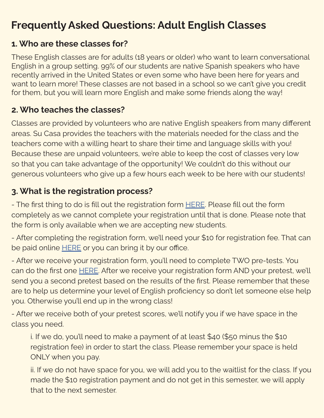# Frequently Asked Questions: Adult English Classes

#### 1. Who are these classes for?

These English classes are for adults (18 years or older) who want to learn conversational English in a group setting. 99% of our students are native Spanish speakers who have recently arrived in the United States or even some who have been here for years and want to learn more! These classes are not based in a school so we can't give you credit for them, but you will learn more English and make some friends along the way!

#### 2. Who teaches the classes?

Classes are provided by volunteers who are native English speakers from many different areas. Su Casa provides the teachers with the materials needed for the class and the teachers come with a willing heart to share their time and language skills with you! Because these are unpaid volunteers, we're able to keep the cost of classes very low so that you can take advantage of the opportunity! We couldn't do this without our generous volunteers who give up a few hours each week to be here with our students!

# 3. What is the registration process?

- The first thing to do is fill out the registration form **[HERE](http://www.tinyurl.com/RegFormNewStudent)**. Please fill out the form completely as we cannot complete your registration until that is done. Please note that the form is only available when we are accepting new students.

- After completing the registration form, we'll need your \$10 for registration fee. That can be paid online **HERE** or you can bring it by our office.

- After we receive your registration form, you'll need to complete TWO pre-tests. You can do the first one [HERE.](https://tinyurl.com/intercambiopretest) After we receive your registration form AND your pretest, we'll send you a second pretest based on the results of the first. Please remember that these are to help us determine your level of English proficiency so don't let someone else help you. Otherwise you'll end up in the wrong class!

- After we receive both of your pretest scores, we'll notify you if we have space in the class you need.

i. If we do, you'll need to make a payment of at least \$40 (\$50 minus the \$10 registration fee) in order to start the class. Please remember your space is held ONLY when you pay.

ii. If we do not have space for you, we will add you to the waitlist for the class. If you made the \$10 registration payment and do not get in this semester, we will apply that to the next semester.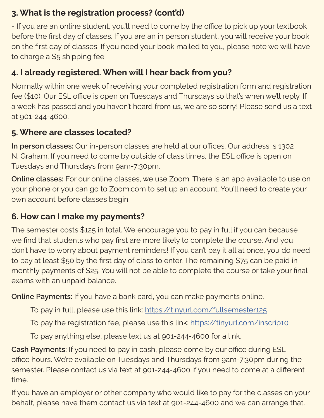### 3. What is the registration process? (cont'd)

- If you are an online student, you'll need to come by the office to pick up your textbook before the first day of classes. If you are an in person student, you will receive your book on the first day of classes. If you need your book mailed to you, please note we will have to charge a \$5 shipping fee.

## 4. I already registered. When will I hear back from you?

Normally within one week of receiving your completed registration form and registration fee (\$10). Our ESL office is open on Tuesdays and Thursdays so that's when we'll reply. If a week has passed and you haven't heard from us, we are so sorry! Please send us a text at 901-244-4600.

## 5. Where are classes located?

In person classes: Our in-person classes are held at our offices. Our address is 1302 N. Graham. If you need to come by outside of class times, the ESL office is open on Tuesdays and Thursdays from 9am-7:30pm.

Online classes: For our online classes, we use Zoom. There is an app available to use on your phone or you can go to Zoom.com to set up an account. You'll need to create your own account before classes begin.

## 6. How can I make my payments?

The semester costs \$125 in total. We encourage you to pay in full if you can because we find that students who pay first are more likely to complete the course. And you don't have to worry about payment reminders! If you can't pay it all at once, you do need to pay at least \$50 by the first day of class to enter. The remaining \$75 can be paid in monthly payments of \$25. You will not be able to complete the course or take your final exams with an unpaid balance.

Online Payments: If you have a bank card, you can make payments online.

To pay in full, please use this link: https://tinyurl.com/fullsemester125

To pay the registration fee, please use this link: https://tinyurl.com/inscrip10

To pay anything else, please text us at 901-244-4600 for a link.

Cash Payments: If you need to pay in cash, please come by our office during ESL office hours. We're available on Tuesdays and Thursdays from 9am-7:30pm during the semester. Please contact us via text at 901-244-4600 if you need to come at a different time.

If you have an employer or other company who would like to pay for the classes on your behalf, please have them contact us via text at 901-244-4600 and we can arrange that.